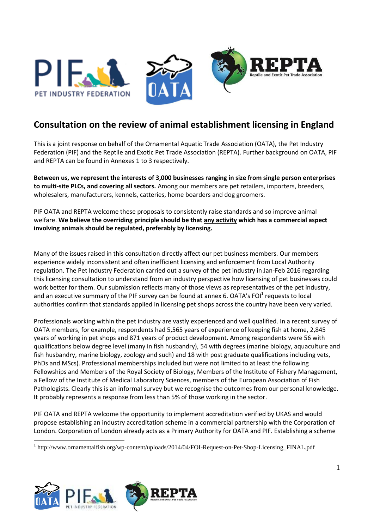

# **Consultation on the review of animal establishment licensing in England**

This is a joint response on behalf of the Ornamental Aquatic Trade Association (OATA), the Pet Industry Federation (PIF) and the Reptile and Exotic Pet Trade Association (REPTA). Further background on OATA, PIF and REPTA can be found in Annexes 1 to 3 respectively.

**Between us, we represent the interests of 3,000 businesses ranging in size from single person enterprises to multi-site PLCs, and covering all sectors.** Among our members are pet retailers, importers, breeders, wholesalers, manufacturers, kennels, catteries, home boarders and dog groomers.

PIF OATA and REPTA welcome these proposals to consistently raise standards and so improve animal welfare. **We believe the overriding principle should be that any activity which has a commercial aspect involving animals should be regulated, preferably by licensing.**

Many of the issues raised in this consultation directly affect our pet business members. Our members experience widely inconsistent and often inefficient licensing and enforcement from Local Authority regulation. The Pet Industry Federation carried out a survey of the pet industry in Jan-Feb 2016 regarding this licensing consultation to understand from an industry perspective how licensing of pet businesses could work better for them. Our submission reflects many of those views as representatives of the pet industry, and an executive summary of the PIF survey can be found at annex 6. OATA's FOI<sup>1</sup> requests to local authorities confirm that standards applied in licensing pet shops across the country have been very varied.

Professionals working within the pet industry are vastly experienced and well qualified. In a recent survey of OATA members, for example, respondents had 5,565 years of experience of keeping fish at home, 2,845 years of working in pet shops and 871 years of product development. Among respondents were 56 with qualifications below degree level (many in fish husbandry), 54 with degrees (marine biology, aquaculture and fish husbandry, marine biology, zoology and such) and 18 with post graduate qualifications including vets, PhDs and MScs). Professional memberships included but were not limited to at least the following Fellowships and Members of the Royal Society of Biology, Members of the Institute of Fishery Management, a Fellow of the Institute of Medical Laboratory Sciences, members of the European Association of Fish Pathologists. Clearly this is an informal survey but we recognise the outcomes from our personal knowledge. It probably represents a response from less than 5% of those working in the sector.

PIF OATA and REPTA welcome the opportunity to implement accreditation verified by UKAS and would propose establishing an industry accreditation scheme in a commercial partnership with the Corporation of London. Corporation of London already acts as a Primary Authority for OATA and PIF. Establishing a scheme

<sup>1</sup> http://www.ornamentalfish.org/wp-content/uploads/2014/04/FOI-Request-on-Pet-Shop-Licensing\_FINAL.pdf



 $\overline{a}$ 

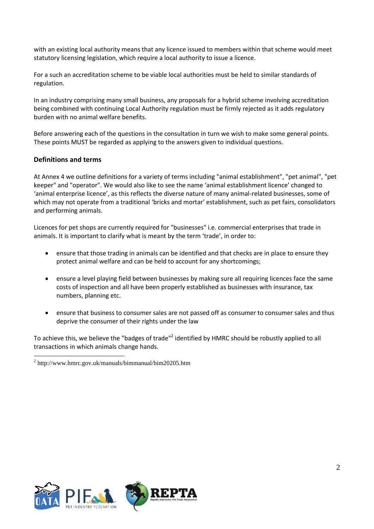with an existing local authority means that any licence issued to members within that scheme would meet statutory licensing legislation, which require a local authority to issue a licence.

For a such an accreditation scheme to be viable local authorities must be held to similar standards of regulation.

In an industry comprising many small business, any proposals for a hybrid scheme involving accreditation being combined with continuing Local Authority regulation must be firmly rejected as it adds regulatory burden with no animal welfare benefits.

Before answering each of the questions in the consultation in turn we wish to make some general points. These points MUST be regarded as applying to the answers given to individual questions.

#### **Definitions and terms**

 $\overline{a}$ 

At Annex 4 we outline definitions for a variety of terms including "animal establishment", "pet animal", "pet keeper" and "operator". We would also like to see the name 'animal establishment licence' changed to 'animal enterprise licence', as this reflects the diverse nature of many animal-related businesses, some of which may not operate from a traditional 'bricks and mortar' establishment, such as pet fairs, consolidators and performing animals.

Licences for pet shops are currently required for "businesses" i.e. commercial enterprises that trade in animals. It is important to clarify what is meant by the term 'trade', in order to:

- ensure that those trading in animals can be identified and that checks are in place to ensure they protect animal welfare and can be held to account for any shortcomings;
- ensure a level playing field between businesses by making sure all requiring licences face the same costs of inspection and all have been properly established as businesses with insurance, tax numbers, planning etc.
- ensure that business to consumer sales are not passed off as consumer to consumer sales and thus deprive the consumer of their rights under the law

To achieve this, we believe the "badges of trade"<sup>2</sup> identified by HMRC should be robustly applied to all transactions in which animals change hands.



<sup>&</sup>lt;sup>2</sup> http://www.hmrc.gov.uk/manuals/bimmanual/bim20205.htm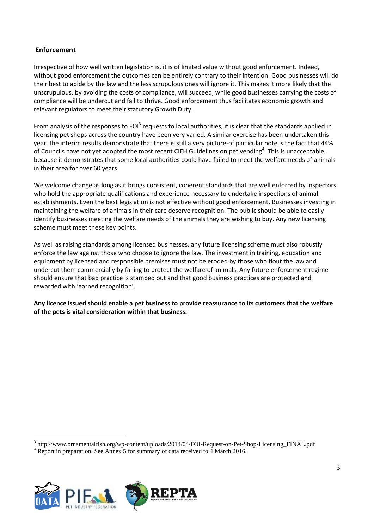## **Enforcement**

Irrespective of how well written legislation is, it is of limited value without good enforcement. Indeed, without good enforcement the outcomes can be entirely contrary to their intention. Good businesses will do their best to abide by the law and the less scrupulous ones will ignore it. This makes it more likely that the unscrupulous, by avoiding the costs of compliance, will succeed, while good businesses carrying the costs of compliance will be undercut and fail to thrive. Good enforcement thus facilitates economic growth and relevant regulators to meet their statutory Growth Duty.

From analysis of the responses to FOI<sup>3</sup> requests to local authorities, it is clear that the standards applied in licensing pet shops across the country have been very varied. A similar exercise has been undertaken this year, the interim results demonstrate that there is still a very picture-of particular note is the fact that 44% of Councils have not yet adopted the most recent CIEH Guidelines on pet vending<sup>4</sup>. This is unacceptable, because it demonstrates that some local authorities could have failed to meet the welfare needs of animals in their area for over 60 years.

We welcome change as long as it brings consistent, coherent standards that are well enforced by inspectors who hold the appropriate qualifications and experience necessary to undertake inspections of animal establishments. Even the best legislation is not effective without good enforcement. Businesses investing in maintaining the welfare of animals in their care deserve recognition. The public should be able to easily identify businesses meeting the welfare needs of the animals they are wishing to buy. Any new licensing scheme must meet these key points.

As well as raising standards among licensed businesses, any future licensing scheme must also robustly enforce the law against those who choose to ignore the law. The investment in training, education and equipment by licensed and responsible premises must not be eroded by those who flout the law and undercut them commercially by failing to protect the welfare of animals. Any future enforcement regime should ensure that bad practice is stamped out and that good business practices are protected and rewarded with 'earned recognition'.

**Any licence issued should enable a pet business to provide reassurance to its customers that the welfare of the pets is vital consideration within that business.**

<sup>3</sup> http://www.ornamentalfish.org/wp-content/uploads/2014/04/FOI-Request-on-Pet-Shop-Licensing\_FINAL.pdf

<sup>4</sup> Report in preparation. See Annex 5 for summary of data received to 4 March 2016.



 $\overline{a}$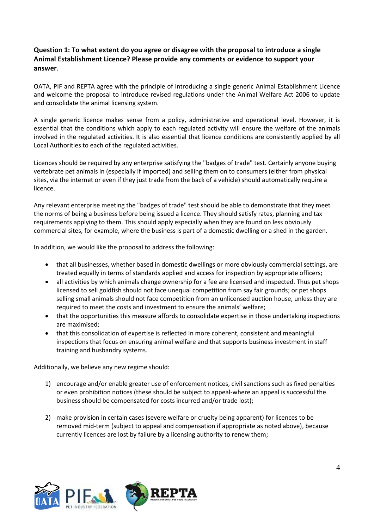## **Question 1: To what extent do you agree or disagree with the proposal to introduce a single Animal Establishment Licence? Please provide any comments or evidence to support your answer**.

OATA, PIF and REPTA agree with the principle of introducing a single generic Animal Establishment Licence and welcome the proposal to introduce revised regulations under the Animal Welfare Act 2006 to update and consolidate the animal licensing system.

A single generic licence makes sense from a policy, administrative and operational level. However, it is essential that the conditions which apply to each regulated activity will ensure the welfare of the animals involved in the regulated activities. It is also essential that licence conditions are consistently applied by all Local Authorities to each of the regulated activities.

Licences should be required by any enterprise satisfying the "badges of trade" test. Certainly anyone buying vertebrate pet animals in (especially if imported) and selling them on to consumers (either from physical sites, via the internet or even if they just trade from the back of a vehicle) should automatically require a licence.

Any relevant enterprise meeting the "badges of trade" test should be able to demonstrate that they meet the norms of being a business before being issued a licence. They should satisfy rates, planning and tax requirements applying to them. This should apply especially when they are found on less obviously commercial sites, for example, where the business is part of a domestic dwelling or a shed in the garden.

In addition, we would like the proposal to address the following:

- that all businesses, whether based in domestic dwellings or more obviously commercial settings, are treated equally in terms of standards applied and access for inspection by appropriate officers;
- all activities by which animals change ownership for a fee are licensed and inspected. Thus pet shops licensed to sell goldfish should not face unequal competition from say fair grounds; or pet shops selling small animals should not face competition from an unlicensed auction house, unless they are required to meet the costs and investment to ensure the animals' welfare;
- that the opportunities this measure affords to consolidate expertise in those undertaking inspections are maximised;
- that this consolidation of expertise is reflected in more coherent, consistent and meaningful inspections that focus on ensuring animal welfare and that supports business investment in staff training and husbandry systems.

Additionally, we believe any new regime should:

- 1) encourage and/or enable greater use of enforcement notices, civil sanctions such as fixed penalties or even prohibition notices (these should be subject to appeal-where an appeal is successful the business should be compensated for costs incurred and/or trade lost);
- 2) make provision in certain cases (severe welfare or cruelty being apparent) for licences to be removed mid-term (subject to appeal and compensation if appropriate as noted above), because currently licences are lost by failure by a licensing authority to renew them;



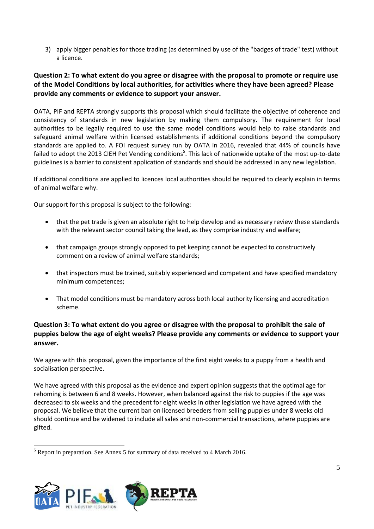3) apply bigger penalties for those trading (as determined by use of the "badges of trade" test) without a licence.

## **Question 2: To what extent do you agree or disagree with the proposal to promote or require use of the Model Conditions by local authorities, for activities where they have been agreed? Please provide any comments or evidence to support your answer.**

OATA, PIF and REPTA strongly supports this proposal which should facilitate the objective of coherence and consistency of standards in new legislation by making them compulsory. The requirement for local authorities to be legally required to use the same model conditions would help to raise standards and safeguard animal welfare within licensed establishments if additional conditions beyond the compulsory standards are applied to. A FOI request survey run by OATA in 2016, revealed that 44% of councils have failed to adopt the 2013 CIEH Pet Vending conditions<sup>5</sup>. This lack of nationwide uptake of the most up-to-date guidelines is a barrier to consistent application of standards and should be addressed in any new legislation.

If additional conditions are applied to licences local authorities should be required to clearly explain in terms of animal welfare why.

Our support for this proposal is subject to the following:

- that the pet trade is given an absolute right to help develop and as necessary review these standards with the relevant sector council taking the lead, as they comprise industry and welfare;
- that campaign groups strongly opposed to pet keeping cannot be expected to constructively comment on a review of animal welfare standards;
- that inspectors must be trained, suitably experienced and competent and have specified mandatory minimum competences;
- That model conditions must be mandatory across both local authority licensing and accreditation scheme.

## **Question 3: To what extent do you agree or disagree with the proposal to prohibit the sale of puppies below the age of eight weeks? Please provide any comments or evidence to support your answer.**

We agree with this proposal, given the importance of the first eight weeks to a puppy from a health and socialisation perspective.

We have agreed with this proposal as the evidence and expert opinion suggests that the optimal age for rehoming is between 6 and 8 weeks. However, when balanced against the risk to puppies if the age was decreased to six weeks and the precedent for eight weeks in other legislation we have agreed with the proposal. We believe that the current ban on licensed breeders from selling puppies under 8 weeks old should continue and be widened to include all sales and non-commercial transactions, where puppies are gifted.

 $\overline{a}$ <sup>5</sup> Report in preparation. See Annex 5 for summary of data received to 4 March 2016.



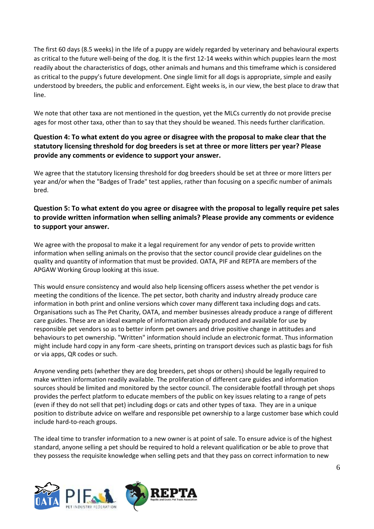The first 60 days (8.5 weeks) in the life of a puppy are widely regarded by veterinary and behavioural experts as critical to the future well-being of the dog. It is the first 12-14 weeks within which puppies learn the most readily about the characteristics of dogs, other animals and humans and this timeframe which is considered as critical to the puppy's future development. One single limit for all dogs is appropriate, simple and easily understood by breeders, the public and enforcement. Eight weeks is, in our view, the best place to draw that line.

We note that other taxa are not mentioned in the question, yet the MLCs currently do not provide precise ages for most other taxa, other than to say that they should be weaned. This needs further clarification.

## **Question 4: To what extent do you agree or disagree with the proposal to make clear that the statutory licensing threshold for dog breeders is set at three or more litters per year? Please provide any comments or evidence to support your answer.**

We agree that the statutory licensing threshold for dog breeders should be set at three or more litters per year and/or when the "Badges of Trade" test applies, rather than focusing on a specific number of animals bred.

## **Question 5: To what extent do you agree or disagree with the proposal to legally require pet sales to provide written information when selling animals? Please provide any comments or evidence to support your answer.**

We agree with the proposal to make it a legal requirement for any vendor of pets to provide written information when selling animals on the proviso that the sector council provide clear guidelines on the quality and quantity of information that must be provided. OATA, PIF and REPTA are members of the APGAW Working Group looking at this issue.

This would ensure consistency and would also help licensing officers assess whether the pet vendor is meeting the conditions of the licence. The pet sector, both charity and industry already produce care information in both print and online versions which cover many different taxa including dogs and cats. Organisations such as The Pet Charity, OATA, and member businesses already produce a range of different care guides. These are an ideal example of information already produced and available for use by responsible pet vendors so as to better inform pet owners and drive positive change in attitudes and behaviours to pet ownership. "Written" information should include an electronic format. Thus information might include hard copy in any form -care sheets, printing on transport devices such as plastic bags for fish or via apps, QR codes or such.

Anyone vending pets (whether they are dog breeders, pet shops or others) should be legally required to make written information readily available. The proliferation of different care guides and information sources should be limited and monitored by the sector council. The considerable footfall through pet shops provides the perfect platform to educate members of the public on key issues relating to a range of pets (even if they do not sell that pet) including dogs or cats and other types of taxa. They are in a unique position to distribute advice on welfare and responsible pet ownership to a large customer base which could include hard-to-reach groups.

The ideal time to transfer information to a new owner is at point of sale. To ensure advice is of the highest standard, anyone selling a pet should be required to hold a relevant qualification or be able to prove that they possess the requisite knowledge when selling pets and that they pass on correct information to new



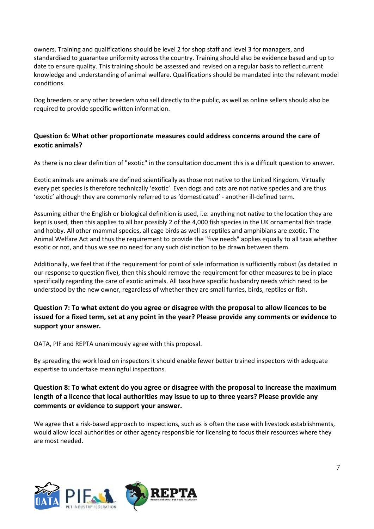owners. Training and qualifications should be level 2 for shop staff and level 3 for managers, and standardised to guarantee uniformity across the country. Training should also be evidence based and up to date to ensure quality. This training should be assessed and revised on a regular basis to reflect current knowledge and understanding of animal welfare. Qualifications should be mandated into the relevant model conditions.

Dog breeders or any other breeders who sell directly to the public, as well as online sellers should also be required to provide specific written information.

## **Question 6: What other proportionate measures could address concerns around the care of exotic animals?**

As there is no clear definition of "exotic" in the consultation document this is a difficult question to answer.

Exotic animals are animals are defined scientifically as those not native to the United Kingdom. Virtually every pet species is therefore technically 'exotic'. Even dogs and cats are not native species and are thus 'exotic' although they are commonly referred to as 'domesticated' - another ill-defined term.

Assuming either the English or biological definition is used, i.e. anything not native to the location they are kept is used, then this applies to all bar possibly 2 of the 4,000 fish species in the UK ornamental fish trade and hobby. All other mammal species, all cage birds as well as reptiles and amphibians are exotic. The Animal Welfare Act and thus the requirement to provide the "five needs" applies equally to all taxa whether exotic or not, and thus we see no need for any such distinction to be drawn between them.

Additionally, we feel that if the requirement for point of sale information is sufficiently robust (as detailed in our response to question five), then this should remove the requirement for other measures to be in place specifically regarding the care of exotic animals. All taxa have specific husbandry needs which need to be understood by the new owner, regardless of whether they are small furries, birds, reptiles or fish.

## **Question 7: To what extent do you agree or disagree with the proposal to allow licences to be issued for a fixed term, set at any point in the year? Please provide any comments or evidence to support your answer.**

OATA, PIF and REPTA unanimously agree with this proposal.

By spreading the work load on inspectors it should enable fewer better trained inspectors with adequate expertise to undertake meaningful inspections.

## **Question 8: To what extent do you agree or disagree with the proposal to increase the maximum length of a licence that local authorities may issue to up to three years? Please provide any comments or evidence to support your answer.**

We agree that a risk-based approach to inspections, such as is often the case with livestock establishments, would allow local authorities or other agency responsible for licensing to focus their resources where they are most needed.



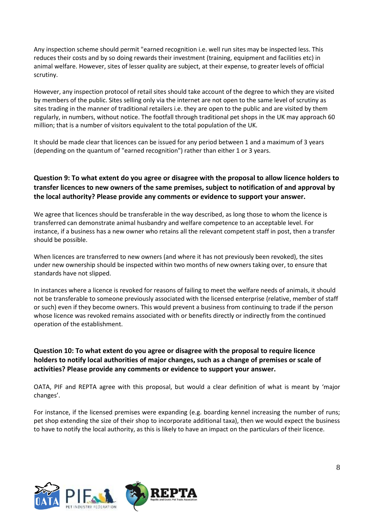Any inspection scheme should permit "earned recognition i.e. well run sites may be inspected less. This reduces their costs and by so doing rewards their investment (training, equipment and facilities etc) in animal welfare. However, sites of lesser quality are subject, at their expense, to greater levels of official scrutiny.

However, any inspection protocol of retail sites should take account of the degree to which they are visited by members of the public. Sites selling only via the internet are not open to the same level of scrutiny as sites trading in the manner of traditional retailers i.e. they are open to the public and are visited by them regularly, in numbers, without notice. The footfall through traditional pet shops in the UK may approach 60 million; that is a number of visitors equivalent to the total population of the UK.

It should be made clear that licences can be issued for any period between 1 and a maximum of 3 years (depending on the quantum of "earned recognition") rather than either 1 or 3 years.

## **Question 9: To what extent do you agree or disagree with the proposal to allow licence holders to transfer licences to new owners of the same premises, subject to notification of and approval by the local authority? Please provide any comments or evidence to support your answer.**

We agree that licences should be transferable in the way described, as long those to whom the licence is transferred can demonstrate animal husbandry and welfare competence to an acceptable level. For instance, if a business has a new owner who retains all the relevant competent staff in post, then a transfer should be possible.

When licences are transferred to new owners (and where it has not previously been revoked), the sites under new ownership should be inspected within two months of new owners taking over, to ensure that standards have not slipped.

In instances where a licence is revoked for reasons of failing to meet the welfare needs of animals, it should not be transferable to someone previously associated with the licensed enterprise (relative, member of staff or such) even if they become owners. This would prevent a business from continuing to trade if the person whose licence was revoked remains associated with or benefits directly or indirectly from the continued operation of the establishment.

## **Question 10: To what extent do you agree or disagree with the proposal to require licence holders to notify local authorities of major changes, such as a change of premises or scale of activities? Please provide any comments or evidence to support your answer.**

OATA, PIF and REPTA agree with this proposal, but would a clear definition of what is meant by 'major changes'.

For instance, if the licensed premises were expanding (e.g. boarding kennel increasing the number of runs; pet shop extending the size of their shop to incorporate additional taxa), then we would expect the business to have to notify the local authority, as this is likely to have an impact on the particulars of their licence.



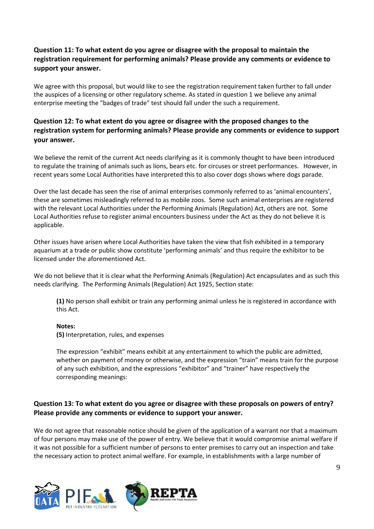## **Question 11: To what extent do you agree or disagree with the proposal to maintain the registration requirement for performing animals? Please provide any comments or evidence to support your answer.**

We agree with this proposal, but would like to see the registration requirement taken further to fall under the auspices of a licensing or other regulatory scheme. As stated in question 1 we believe any animal enterprise meeting the "badges of trade" test should fall under the such a requirement.

## **Question 12: To what extent do you agree or disagree with the proposed changes to the registration system for performing animals? Please provide any comments or evidence to support your answer.**

We believe the remit of the current Act needs clarifying as it is commonly thought to have been introduced to regulate the training of animals such as lions, bears etc. for circuses or street performances. However, in recent years some Local Authorities have interpreted this to also cover dogs shows where dogs parade.

Over the last decade has seen the rise of animal enterprises commonly referred to as 'animal encounters', these are sometimes misleadingly referred to as mobile zoos. Some such animal enterprises are registered with the relevant Local Authorities under the Performing Animals (Regulation) Act, others are not. Some Local Authorities refuse to register animal encounters business under the Act as they do not believe it is applicable.

Other issues have arisen where Local Authorities have taken the view that fish exhibited in a temporary aquarium at a trade or public show constitute 'performing animals' and thus require the exhibitor to be licensed under the aforementioned Act.

We do not believe that it is clear what the Performing Animals (Regulation) Act encapsulates and as such this needs clarifying. The Performing Animals (Regulation) Act 1925, Section state:

**(1)** No person shall exhibit or train any performing animal unless he is registered in accordance with this Act.

#### **Notes:**

**(5)** Interpretation, rules, and expenses

The expression "exhibit" means exhibit at any entertainment to which the public are admitted, whether on payment of money or otherwise, and the expression "train" means train for the purpose of any such exhibition, and the expressions "exhibitor" and "trainer" have respectively the corresponding meanings:

## **Question 13: To what extent do you agree or disagree with these proposals on powers of entry? Please provide any comments or evidence to support your answer.**

We do not agree that reasonable notice should be given of the application of a warrant nor that a maximum of four persons may make use of the power of entry. We believe that it would compromise animal welfare if it was not possible for a sufficient number of persons to enter premises to carry out an inspection and take the necessary action to protect animal welfare. For example, in establishments with a large number of



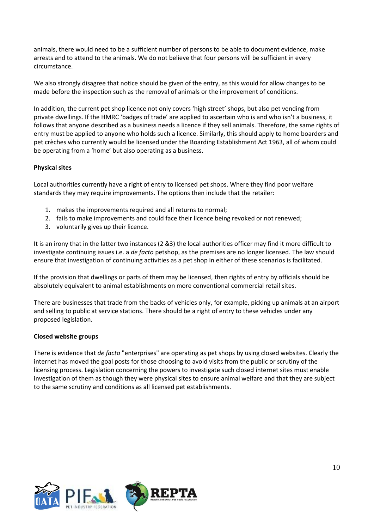animals, there would need to be a sufficient number of persons to be able to document evidence, make arrests and to attend to the animals. We do not believe that four persons will be sufficient in every circumstance.

We also strongly disagree that notice should be given of the entry, as this would for allow changes to be made before the inspection such as the removal of animals or the improvement of conditions.

In addition, the current pet shop licence not only covers 'high street' shops, but also pet vending from private dwellings. If the HMRC 'badges of trade' are applied to ascertain who is and who isn't a business, it follows that anyone described as a business needs a licence if they sell animals. Therefore, the same rights of entry must be applied to anyone who holds such a licence. Similarly, this should apply to home boarders and pet crèches who currently would be licensed under the Boarding Establishment Act 1963, all of whom could be operating from a 'home' but also operating as a business.

#### **Physical sites**

Local authorities currently have a right of entry to licensed pet shops. Where they find poor welfare standards they may require improvements. The options then include that the retailer:

- 1. makes the improvements required and all returns to normal;
- 2. fails to make improvements and could face their licence being revoked or not renewed;
- 3. voluntarily gives up their licence.

It is an irony that in the latter two instances (2 &3) the local authorities officer may find it more difficult to investigate continuing issues i.e. a *de facto* petshop, as the premises are no longer licensed. The law should ensure that investigation of continuing activities as a pet shop in either of these scenarios is facilitated.

If the provision that dwellings or parts of them may be licensed, then rights of entry by officials should be absolutely equivalent to animal establishments on more conventional commercial retail sites.

There are businesses that trade from the backs of vehicles only, for example, picking up animals at an airport and selling to public at service stations. There should be a right of entry to these vehicles under any proposed legislation.

#### **Closed website groups**

There is evidence that *de facto* "enterprises" are operating as pet shops by using closed websites. Clearly the internet has moved the goal posts for those choosing to avoid visits from the public or scrutiny of the licensing process. Legislation concerning the powers to investigate such closed internet sites must enable investigation of them as though they were physical sites to ensure animal welfare and that they are subject to the same scrutiny and conditions as all licensed pet establishments.



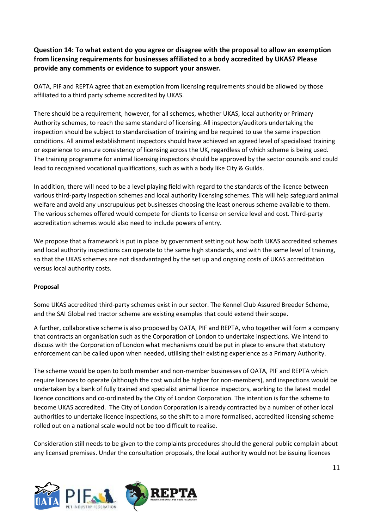**Question 14: To what extent do you agree or disagree with the proposal to allow an exemption from licensing requirements for businesses affiliated to a body accredited by UKAS? Please provide any comments or evidence to support your answer.** 

OATA, PIF and REPTA agree that an exemption from licensing requirements should be allowed by those affiliated to a third party scheme accredited by UKAS.

There should be a requirement, however, for all schemes, whether UKAS, local authority or Primary Authority schemes, to reach the same standard of licensing. All inspectors/auditors undertaking the inspection should be subject to standardisation of training and be required to use the same inspection conditions. All animal establishment inspectors should have achieved an agreed level of specialised training or experience to ensure consistency of licensing across the UK, regardless of which scheme is being used. The training programme for animal licensing inspectors should be approved by the sector councils and could lead to recognised vocational qualifications, such as with a body like City & Guilds.

In addition, there will need to be a level playing field with regard to the standards of the licence between various third-party inspection schemes and local authority licensing schemes. This will help safeguard animal welfare and avoid any unscrupulous pet businesses choosing the least onerous scheme available to them. The various schemes offered would compete for clients to license on service level and cost. Third-party accreditation schemes would also need to include powers of entry.

We propose that a framework is put in place by government setting out how both UKAS accredited schemes and local authority inspections can operate to the same high standards, and with the same level of training, so that the UKAS schemes are not disadvantaged by the set up and ongoing costs of UKAS accreditation versus local authority costs.

## **Proposal**

Some UKAS accredited third-party schemes exist in our sector. The Kennel Club Assured Breeder Scheme, and the SAI Global red tractor scheme are existing examples that could extend their scope.

A further, collaborative scheme is also proposed by OATA, PIF and REPTA, who together will form a company that contracts an organisation such as the Corporation of London to undertake inspections. We intend to discuss with the Corporation of London what mechanisms could be put in place to ensure that statutory enforcement can be called upon when needed, utilising their existing experience as a Primary Authority.

The scheme would be open to both member and non-member businesses of OATA, PIF and REPTA which require licences to operate (although the cost would be higher for non-members), and inspections would be undertaken by a bank of fully trained and specialist animal licence inspectors, working to the latest model licence conditions and co-ordinated by the City of London Corporation. The intention is for the scheme to become UKAS accredited. The City of London Corporation is already contracted by a number of other local authorities to undertake licence inspections, so the shift to a more formalised, accredited licensing scheme rolled out on a national scale would not be too difficult to realise.

Consideration still needs to be given to the complaints procedures should the general public complain about any licensed premises. Under the consultation proposals, the local authority would not be issuing licences



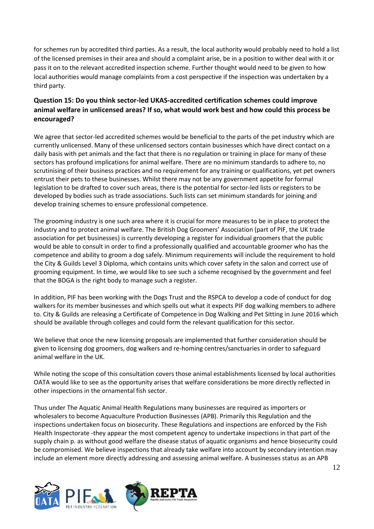for schemes run by accredited third parties. As a result, the local authority would probably need to hold a list of the licensed premises in their area and should a complaint arise, be in a position to wither deal with it or pass it on to the relevant accredited inspection scheme. Further thought would need to be given to how local authorities would manage complaints from a cost perspective if the inspection was undertaken by a third party.

## **Question 15: Do you think sector-led UKAS-accredited certification schemes could improve animal welfare in unlicensed areas? If so, what would work best and how could this process be encouraged?**

We agree that sector-led accredited schemes would be beneficial to the parts of the pet industry which are currently unlicensed. Many of these unlicensed sectors contain businesses which have direct contact on a daily basis with pet animals and the fact that there is no regulation or training in place for many of these sectors has profound implications for animal welfare. There are no minimum standards to adhere to, no scrutinising of their business practices and no requirement for any training or qualifications, yet pet owners entrust their pets to these businesses. Whilst there may not be any government appetite for formal legislation to be drafted to cover such areas, there is the potential for sector-led lists or registers to be developed by bodies such as trade associations. Such lists can set minimum standards for joining and develop training schemes to ensure professional competence.

The grooming industry is one such area where it is crucial for more measures to be in place to protect the industry and to protect animal welfare. The British Dog Groomers' Association (part of PIF, the UK trade association for pet businesses) is currently developing a register for individual groomers that the public would be able to consult in order to find a professionally qualified and accountable groomer who has the competence and ability to groom a dog safely. Minimum requirements will include the requirement to hold the City & Guilds Level 3 Diploma, which contains units which cover safety in the salon and correct use of grooming equipment. In time, we would like to see such a scheme recognised by the government and feel that the BDGA is the right body to manage such a register.

In addition, PIF has been working with the Dogs Trust and the RSPCA to develop a code of conduct for dog walkers for its member businesses and which spells out what it expects PIF dog walking members to adhere to. City & Guilds are releasing a Certificate of Competence in Dog Walking and Pet Sitting in June 2016 which should be available through colleges and could form the relevant qualification for this sector.

We believe that once the new licensing proposals are implemented that further consideration should be given to licensing dog groomers, dog walkers and re-homing centres/sanctuaries in order to safeguard animal welfare in the UK.

While noting the scope of this consultation covers those animal establishments licensed by local authorities OATA would like to see as the opportunity arises that welfare considerations be more directly reflected in other inspections in the ornamental fish sector.

Thus under The Aquatic Animal Health Regulations many businesses are required as importers or wholesalers to become Aquaculture Production Businesses (APB). Primarily this Regulation and the inspections undertaken focus on biosecurity. These Regulations and inspections are enforced by the Fish Health Inspectorate -they appear the most competent agency to undertake inspections in that part of the supply chain p. as without good welfare the disease status of aquatic organisms and hence biosecurity could be compromised. We believe inspections that already take welfare into account by secondary intention may include an element more directly addressing and assessing animal welfare. A businesses status as an APB



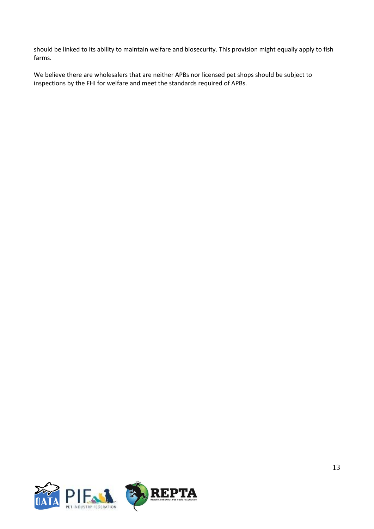should be linked to its ability to maintain welfare and biosecurity. This provision might equally apply to fish farms.

We believe there are wholesalers that are neither APBs nor licensed pet shops should be subject to inspections by the FHI for welfare and meet the standards required of APBs.

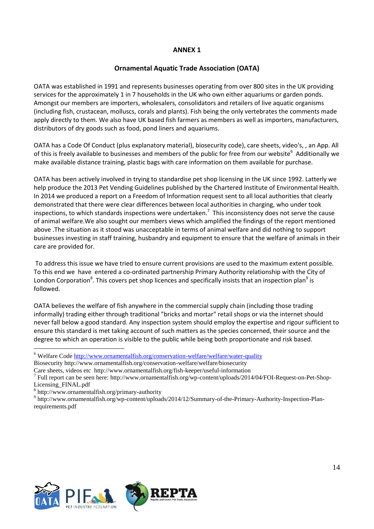## **Ornamental Aquatic Trade Association (OATA)**

OATA was established in 1991 and represents businesses operating from over 800 sites in the UK providing services for the approximately 1 in 7 households in the UK who own either aquariums or garden ponds. Amongst our members are importers, wholesalers, consolidators and retailers of live aquatic organisms (including fish, crustacean, molluscs, corals and plants). Fish being the only vertebrates the comments made apply directly to them. We also have UK based fish farmers as members as well as importers, manufacturers, distributors of dry goods such as food, pond liners and aquariums.

OATA has a Code Of Conduct (plus explanatory material), biosecurity code), care sheets, video's, , an App. All of this is freely available to businesses and members of the public for free from our website<sup>6</sup> Additionally we make available distance training, plastic bags with care information on them available for purchase.

OATA has been actively involved in trying to standardise pet shop licensing in the UK since 1992. Latterly we help produce the 2013 Pet Vending Guidelines published by the Chartered Institute of Environmental Health. In 2014 we produced a report on a Freedom of Information request sent to all local authorities that clearly demonstrated that there were clear differences between local authorities in charging, who under took inspections, to which standards inspections were undertaken.<sup>7</sup> This inconsistency does not serve the cause of animal welfare.We also sought our members views which amplified the findings of the report mentioned above .The situation as it stood was unacceptable in terms of animal welfare and did nothing to support businesses investing in staff training, husbandry and equipment to ensure that the welfare of animals in their care are provided for.

To address this issue we have tried to ensure current provisions are used to the maximum extent possible. To this end we have entered a co-ordinated partnership Primary Authority relationship with the City of London Corporation<sup>8</sup>. This covers pet shop licences and specifically insists that an inspection plan<sup>9</sup> is followed.

OATA believes the welfare of fish anywhere in the commercial supply chain (including those trading informally) trading either through traditional "bricks and mortar" retail shops or via the internet should never fall below a good standard. Any inspection system should employ the expertise and rigour sufficient to ensure this standard is met taking account of such matters as the species concerned, their source and the degree to which an operation is visible to the public while being both proportionate and risk based.



 $\overline{a}$ 



<sup>6</sup> Welfare Code<http://www.ornamentalfish.org/conservation-welfare/welfare/water-quality>

Biosecurity http://www.ornamentalfish.org/conservation-welfare/welfare/biosecurity

Care sheets, videos etc http://www.ornamentalfish.org/fish-keeper/useful-information<br><sup>7</sup> Full report can be seen here: http://www.ornamentalfish.org/wp-content/uploads/2014/04/FOI-Request-on-Pet-Shop-Licensing\_FINAL.pdf

<sup>8</sup> http://www.ornamentalfish.org/primary-authority

<sup>&</sup>lt;sup>9</sup> http://www.ornamentalfish.org/wp-content/uploads/2014/12/Summary-of-the-Primary-Authority-Inspection-Planrequirements.pdf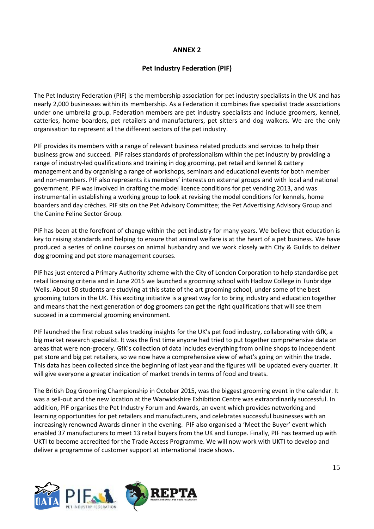## **Pet Industry Federation (PIF)**

The Pet Industry Federation (PIF) is the membership association for pet industry specialists in the UK and has nearly 2,000 businesses within its membership. As a Federation it combines five specialist trade associations under one umbrella group. Federation members are pet industry specialists and include groomers, kennel, catteries, home boarders, pet retailers and manufacturers, pet sitters and dog walkers. We are the only organisation to represent all the different sectors of the pet industry.

PIF provides its members with a range of relevant business related products and services to help their business grow and succeed. PIF raises standards of professionalism within the pet industry by providing a range of industry-led qualifications and training in dog grooming, pet retail and kennel & cattery management and by organising a range of workshops, seminars and educational events for both member and non-members. PIF also represents its members' interests on external groups and with local and national government. PIF was involved in drafting the model licence conditions for pet vending 2013, and was instrumental in establishing a working group to look at revising the model conditions for kennels, home boarders and day crèches. PIF sits on the Pet Advisory Committee; the Pet Advertising Advisory Group and the Canine Feline Sector Group.

PIF has been at the forefront of change within the pet industry for many years. We believe that education is key to raising standards and helping to ensure that animal welfare is at the heart of a pet business. We have produced a series of online courses on animal husbandry and we work closely with City & Guilds to deliver dog grooming and pet store management courses.

PIF has just entered a Primary Authority scheme with the City of London Corporation to help standardise pet retail licensing criteria and in June 2015 we launched a grooming school with Hadlow College in Tunbridge Wells. About 50 students are studying at this state of the art grooming school, under some of the best grooming tutors in the UK. This exciting initiative is a great way for to bring industry and education together and means that the next generation of dog groomers can get the right qualifications that will see them succeed in a commercial grooming environment.

PIF launched the first robust sales tracking insights for the UK's pet food industry, collaborating with GfK, a big market research specialist. It was the first time anyone had tried to put together comprehensive data on areas that were non-grocery. GfK's collection of data includes everything from online shops to independent pet store and big pet retailers, so we now have a comprehensive view of what's going on within the trade. This data has been collected since the beginning of last year and the figures will be updated every quarter. It will give everyone a greater indication of market trends in terms of food and treats.

The British Dog Grooming Championship in October 2015, was the biggest grooming event in the calendar. It was a sell-out and the new location at the Warwickshire Exhibition Centre was extraordinarily successful. In addition, PIF organises the Pet Industry Forum and Awards, an event which provides networking and learning opportunities for pet retailers and manufacturers, and celebrates successful businesses with an increasingly renowned Awards dinner in the evening. PIF also organised a 'Meet the Buyer' event which enabled 37 manufacturers to meet 13 retail buyers from the UK and Europe. Finally, PIF has teamed up with UKTI to become accredited for the Trade Access Programme. We will now work with UKTI to develop and deliver a programme of customer support at international trade shows.



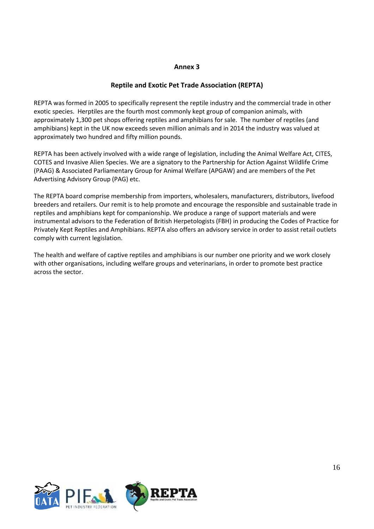#### **Annex 3**

## **Reptile and Exotic Pet Trade Association (REPTA)**

REPTA was formed in 2005 to specifically represent the reptile industry and the commercial trade in other exotic species. Herptiles are the fourth most commonly kept group of companion animals, with approximately 1,300 pet shops offering reptiles and amphibians for sale. The number of reptiles (and amphibians) kept in the UK now exceeds seven million animals and in 2014 the industry was valued at approximately two hundred and fifty million pounds.

REPTA has been actively involved with a wide range of legislation, including the Animal Welfare Act, CITES, COTES and Invasive Alien Species. We are a signatory to the Partnership for Action Against Wildlife Crime (PAAG) & Associated Parliamentary Group for Animal Welfare (APGAW) and are members of the Pet Advertising Advisory Group (PAG) etc.

The REPTA board comprise membership from importers, wholesalers, manufacturers, distributors, livefood breeders and retailers. Our remit is to help promote and encourage the responsible and sustainable trade in reptiles and amphibians kept for companionship. We produce a range of support materials and were instrumental advisors to the Federation of British Herpetologists (FBH) in producing the Codes of Practice for Privately Kept Reptiles and Amphibians. REPTA also offers an advisory service in order to assist retail outlets comply with current legislation.

The health and welfare of captive reptiles and amphibians is our number one priority and we work closely with other organisations, including welfare groups and veterinarians, in order to promote best practice across the sector.

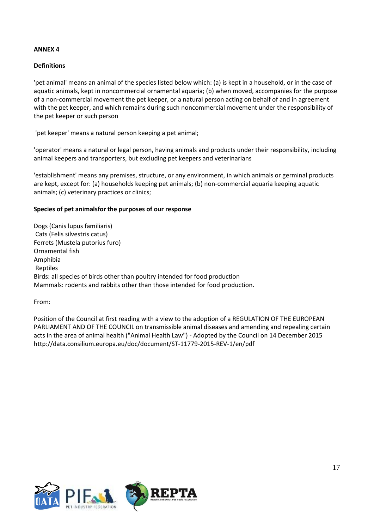#### **Definitions**

'pet animal' means an animal of the species listed below which: (a) is kept in a household, or in the case of aquatic animals, kept in noncommercial ornamental aquaria; (b) when moved, accompanies for the purpose of a non-commercial movement the pet keeper, or a natural person acting on behalf of and in agreement with the pet keeper, and which remains during such noncommercial movement under the responsibility of the pet keeper or such person

'pet keeper' means a natural person keeping a pet animal;

'operator' means a natural or legal person, having animals and products under their responsibility, including animal keepers and transporters, but excluding pet keepers and veterinarians

'establishment' means any premises, structure, or any environment, in which animals or germinal products are kept, except for: (a) households keeping pet animals; (b) non-commercial aquaria keeping aquatic animals; (c) veterinary practices or clinics;

#### **Species of pet animalsfor the purposes of our response**

Dogs (Canis lupus familiaris) Cats (Felis silvestris catus) Ferrets (Mustela putorius furo) Ornamental fish Amphibia Reptiles Birds: all species of birds other than poultry intended for food production Mammals: rodents and rabbits other than those intended for food production.

From:

Position of the Council at first reading with a view to the adoption of a REGULATION OF THE EUROPEAN PARLIAMENT AND OF THE COUNCIL on transmissible animal diseases and amending and repealing certain acts in the area of animal health ("Animal Health Law") - Adopted by the Council on 14 December 2015 http://data.consilium.europa.eu/doc/document/ST-11779-2015-REV-1/en/pdf

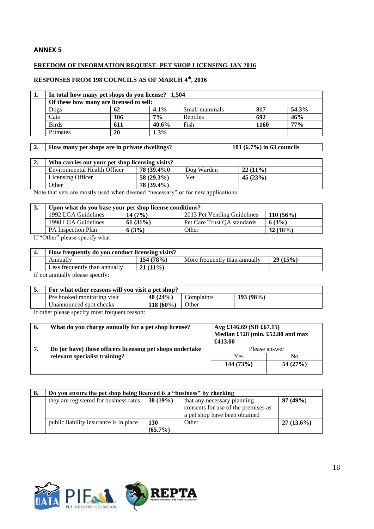#### **FREEDOM OF INFORMATION REQUEST- PET SHOP LICENSING-JAN 2016**

#### **RESPONSES FROM 198 COUNCILS AS OF MARCH 4 th, 2016**

| ı. | In total how many pet shops do you license? 1,504 |     |         |               |      |       |
|----|---------------------------------------------------|-----|---------|---------------|------|-------|
|    | Of these how many are licensed to sell:           |     |         |               |      |       |
|    | Dogs                                              | 62  | $4.1\%$ | Small mammals | 817  | 54.3% |
|    | Cats                                              | 106 | 7%      | Reptiles      | 692  | 46%   |
|    | <b>Birds</b>                                      | 611 | 40.6%   | Fish          | 1160 | 77%   |
|    | Primates                                          | 20  | 1.3%    |               |      |       |

#### 2. **How many pet shops are in private dwellings?** 101 (6.7%) in 63 councils

| ۷. | Who carries out your pet shop licensing visits? |              |            |            |  |
|----|-------------------------------------------------|--------------|------------|------------|--|
|    | Environmental Health Officer                    | 78 (39.4%)   | Dog Warden | $22(11\%)$ |  |
|    | Licensing Officer                               | $58(29.3\%)$ | Vet        | 45(23%)    |  |
|    | Other                                           | 78 (39.4%)   |            |            |  |

Note that vets are mostly used when deemed "necessary" or for new applications

| J.                                                                                           | Upon what do you base your pet shop license conditions? |            |                             |             |  |  |
|----------------------------------------------------------------------------------------------|---------------------------------------------------------|------------|-----------------------------|-------------|--|--|
|                                                                                              | 1992 LGA Guidelines                                     | 14(7%)     | 2013 Pet Vending Guidelines | $110(56\%)$ |  |  |
|                                                                                              | 1998 LGA Guidelines                                     | $61(31\%)$ | Pet Care Trust OA standards | 6(3%)       |  |  |
|                                                                                              | <b>PA</b> Inspection Plan                               | 6(3%)      | Other                       | $32(16\%)$  |  |  |
| $\mathbf{r} \cdot \mathbf{r} \cdot \mathbf{r}$ and $\mathbf{r} \cdot \mathbf{r}$<br>$\cdots$ |                                                         |            |                             |             |  |  |

If "Other" please specify what:

#### **4. How frequently do you conduct licensing visits?**

| - ⊤•          | TION HUGHUIN AO TOU CONAUGH NUMBINE TIBILB.      |                              |                                        |              |  |  |
|---------------|--------------------------------------------------|------------------------------|----------------------------------------|--------------|--|--|
|               |                                                  | 78%<br>$\overline{10}$<br>∸∼ | More<br>annually<br>trequently<br>than | 29<br>$15\%$ |  |  |
|               | annually<br>trequently<br>than<br>$_{\rm{LESS}}$ | $(11\%$<br>$^{\sim}$<br>41   |                                        |              |  |  |
| $\sim$ $\sim$ | $\sim$<br>$\sim$                                 |                              |                                        |              |  |  |

If not annually please specify:

|            | For what other reasons will you visit a pet shop? |             |            |           |  |
|------------|---------------------------------------------------|-------------|------------|-----------|--|
|            | Pre booked monitoring visit                       | 48 $(24%)$  | Complaints | 193 (98%) |  |
|            | Unannounced spot checks                           | $118(60\%)$ | Other      |           |  |
| ___<br>. . |                                                   |             |            |           |  |

If other please specify most frequent reason:

| 6. | What do you charge annually for a pet shop license?       | Avg £146.69 (SD £67.15)<br>Median £128 (min. £52.80 and max<br>£413.00 |         |  |
|----|-----------------------------------------------------------|------------------------------------------------------------------------|---------|--|
|    | Do (or have) those officers licensing pet shops undertake | Please answer                                                          |         |  |
|    | relevant specialist training?                             | Yes                                                                    | No      |  |
|    |                                                           | 144(73%)                                                               | 54(27%) |  |

| 8. | Do you ensure the pet shop being licensed is a "business" by checking |                          |                                                                                                     |              |  |  |
|----|-----------------------------------------------------------------------|--------------------------|-----------------------------------------------------------------------------------------------------|--------------|--|--|
|    | they are registered for business rates                                | $38(19\%)$               | that any necessary planning<br>consents for use of the premises as<br>a pet shop have been obtained | 97(49%)      |  |  |
|    | public liability insurance is in place                                | <b>130</b><br>$(65.7\%)$ | Other                                                                                               | $27(13.6\%)$ |  |  |





٦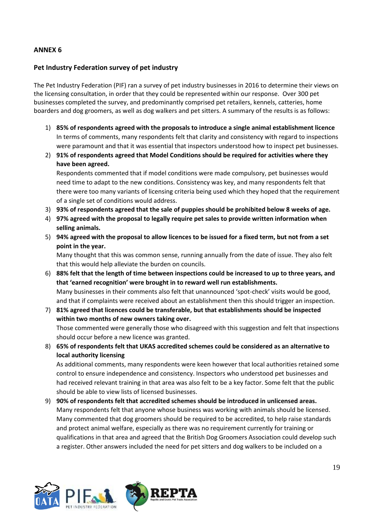#### **Pet Industry Federation survey of pet industry**

The Pet Industry Federation (PIF) ran a survey of pet industry businesses in 2016 to determine their views on the licensing consultation, in order that they could be represented within our response. Over 300 pet businesses completed the survey, and predominantly comprised pet retailers, kennels, catteries, home boarders and dog groomers, as well as dog walkers and pet sitters. A summary of the results is as follows:

- 1) **85% of respondents agreed with the proposals to introduce a single animal establishment licence** In terms of comments, many respondents felt that clarity and consistency with regard to inspections were paramount and that it was essential that inspectors understood how to inspect pet businesses.
- 2) **91% of respondents agreed that Model Conditions should be required for activities where they have been agreed.**

Respondents commented that if model conditions were made compulsory, pet businesses would need time to adapt to the new conditions. Consistency was key, and many respondents felt that there were too many variants of licensing criteria being used which they hoped that the requirement of a single set of conditions would address.

- 3) **93% of respondents agreed that the sale of puppies should be prohibited below 8 weeks of age.**
- 4) **97% agreed with the proposal to legally require pet sales to provide written information when selling animals.**
- 5) **94% agreed with the proposal to allow licences to be issued for a fixed term, but not from a set point in the year.**

Many thought that this was common sense, running annually from the date of issue. They also felt that this would help alleviate the burden on councils.

- 6) **88% felt that the length of time between inspections could be increased to up to three years, and that 'earned recognition' were brought in to reward well run establishments.** Many businesses in their comments also felt that unannounced 'spot-check' visits would be good, and that if complaints were received about an establishment then this should trigger an inspection.
- 7) **81% agreed that licences could be transferable, but that establishments should be inspected within two months of new owners taking over.**

Those commented were generally those who disagreed with this suggestion and felt that inspections should occur before a new licence was granted.

8) **65% of respondents felt that UKAS accredited schemes could be considered as an alternative to local authority licensing**

As additional comments, many respondents were keen however that local authorities retained some control to ensure independence and consistency. Inspectors who understood pet businesses and had received relevant training in that area was also felt to be a key factor. Some felt that the public should be able to view lists of licensed businesses.

9) **90% of respondents felt that accredited schemes should be introduced in unlicensed areas.**  Many respondents felt that anyone whose business was working with animals should be licensed. Many commented that dog groomers should be required to be accredited, to help raise standards and protect animal welfare, especially as there was no requirement currently for training or qualifications in that area and agreed that the British Dog Groomers Association could develop such a register. Other answers included the need for pet sitters and dog walkers to be included on a